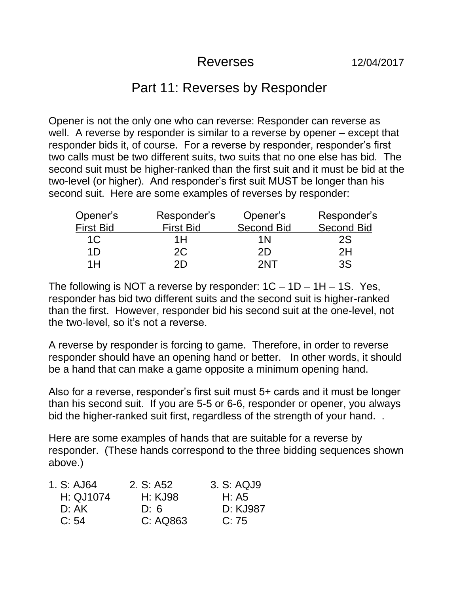## Reverses 12/04/2017

## Part 11: Reverses by Responder

Opener is not the only one who can reverse: Responder can reverse as well. A reverse by responder is similar to a reverse by opener – except that responder bids it, of course. For a reverse by responder, responder's first two calls must be two different suits, two suits that no one else has bid. The second suit must be higher-ranked than the first suit and it must be bid at the two-level (or higher). And responder's first suit MUST be longer than his second suit. Here are some examples of reverses by responder:

| Opener's         | Responder's      | Opener's          | Responder's       |
|------------------|------------------|-------------------|-------------------|
| <b>First Bid</b> | <b>First Bid</b> | <b>Second Bid</b> | <b>Second Bid</b> |
| 1C               | 1Н               | 1 N               | 2S                |
| 1D               | 2C               | 2D                | 2H                |
| 1H               | 2D               | 2NT               | 3S                |

The following is NOT a reverse by responder:  $1C - 1D - 1H - 1S$ . Yes, responder has bid two different suits and the second suit is higher-ranked than the first. However, responder bid his second suit at the one-level, not the two-level, so it's not a reverse.

A reverse by responder is forcing to game. Therefore, in order to reverse responder should have an opening hand or better. In other words, it should be a hand that can make a game opposite a minimum opening hand.

Also for a reverse, responder's first suit must 5+ cards and it must be longer than his second suit. If you are 5-5 or 6-6, responder or opener, you always bid the higher-ranked suit first, regardless of the strength of your hand...

Here are some examples of hands that are suitable for a reverse by responder. (These hands correspond to the three bidding sequences shown above.)

| 1. S: AJ64 | 2. S: A52 | 3. S: AQJ9 |
|------------|-----------|------------|
| H: QJ1074  | H: KJ98   | H: A5      |
| D: AK      | D:6       | D: KJ987   |
| C: 54      | C: AQ863  | C: 75      |